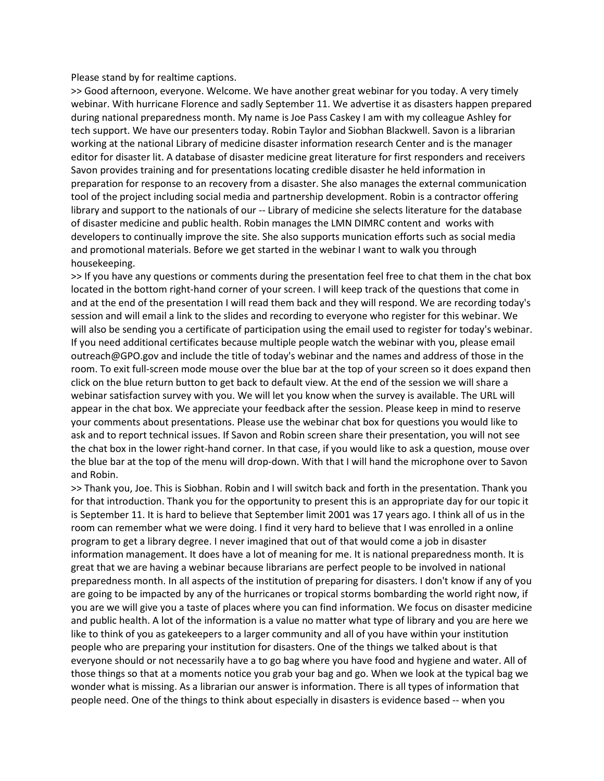Please stand by for realtime captions.

>> Good afternoon, everyone. Welcome. We have another great webinar for you today. A very timely webinar. With hurricane Florence and sadly September 11. We advertise it as disasters happen prepared during national preparedness month. My name is Joe Pass Caskey I am with my colleague Ashley for tech support. We have our presenters today. Robin Taylor and Siobhan Blackwell. Savon is a librarian working at the national Library of medicine disaster information research Center and is the manager editor for disaster lit. A database of disaster medicine great literature for first responders and receivers Savon provides training and for presentations locating credible disaster he held information in preparation for response to an recovery from a disaster. She also manages the external communication tool of the project including social media and partnership development. Robin is a contractor offering library and support to the nationals of our -- Library of medicine she selects literature for the database of disaster medicine and public health. Robin manages the LMN DIMRC content and works with developers to continually improve the site. She also supports munication efforts such as social media and promotional materials. Before we get started in the webinar I want to walk you through housekeeping.

>> If you have any questions or comments during the presentation feel free to chat them in the chat box located in the bottom right-hand corner of your screen. I will keep track of the questions that come in and at the end of the presentation I will read them back and they will respond. We are recording today's session and will email a link to the slides and recording to everyone who register for this webinar. We will also be sending you a certificate of participation using the email used to register for today's webinar. If you need additional certificates because multiple people watch the webinar with you, please email outreach@GPO.gov and include the title of today's webinar and the names and address of those in the room. To exit full-screen mode mouse over the blue bar at the top of your screen so it does expand then click on the blue return button to get back to default view. At the end of the session we will share a webinar satisfaction survey with you. We will let you know when the survey is available. The URL will appear in the chat box. We appreciate your feedback after the session. Please keep in mind to reserve your comments about presentations. Please use the webinar chat box for questions you would like to ask and to report technical issues. If Savon and Robin screen share their presentation, you will not see the chat box in the lower right-hand corner. In that case, if you would like to ask a question, mouse over the blue bar at the top of the menu will drop-down. With that I will hand the microphone over to Savon and Robin.

>> Thank you, Joe. This is Siobhan. Robin and I will switch back and forth in the presentation. Thank you for that introduction. Thank you for the opportunity to present this is an appropriate day for our topic it is September 11. It is hard to believe that September limit 2001 was 17 years ago. I think all of us in the room can remember what we were doing. I find it very hard to believe that I was enrolled in a online program to get a library degree. I never imagined that out of that would come a job in disaster information management. It does have a lot of meaning for me. It is national preparedness month. It is great that we are having a webinar because librarians are perfect people to be involved in national preparedness month. In all aspects of the institution of preparing for disasters. I don't know if any of you are going to be impacted by any of the hurricanes or tropical storms bombarding the world right now, if you are we will give you a taste of places where you can find information. We focus on disaster medicine and public health. A lot of the information is a value no matter what type of library and you are here we like to think of you as gatekeepers to a larger community and all of you have within your institution people who are preparing your institution for disasters. One of the things we talked about is that everyone should or not necessarily have a to go bag where you have food and hygiene and water. All of those things so that at a moments notice you grab your bag and go. When we look at the typical bag we wonder what is missing. As a librarian our answer is information. There is all types of information that people need. One of the things to think about especially in disasters is evidence based -- when you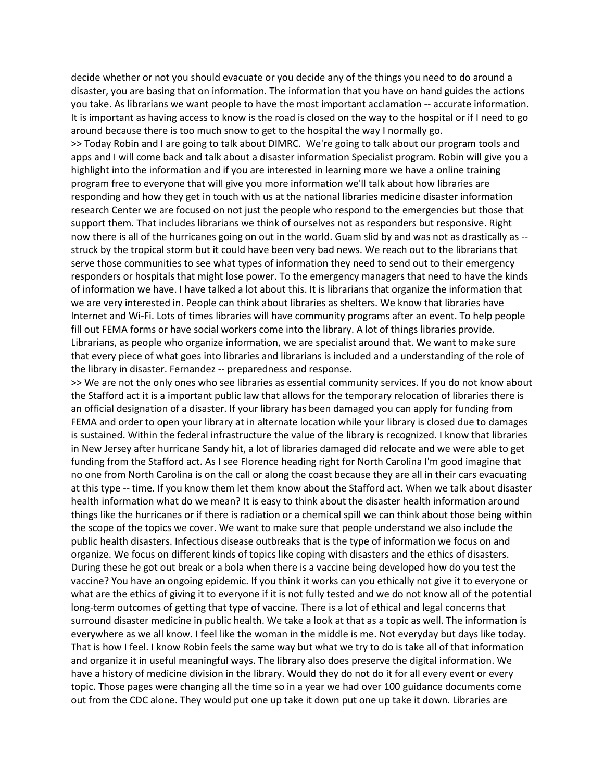decide whether or not you should evacuate or you decide any of the things you need to do around a disaster, you are basing that on information. The information that you have on hand guides the actions you take. As librarians we want people to have the most important acclamation -- accurate information. It is important as having access to know is the road is closed on the way to the hospital or if I need to go around because there is too much snow to get to the hospital the way I normally go.

>> Today Robin and I are going to talk about DIMRC. We're going to talk about our program tools and apps and I will come back and talk about a disaster information Specialist program. Robin will give you a highlight into the information and if you are interested in learning more we have a online training program free to everyone that will give you more information we'll talk about how libraries are responding and how they get in touch with us at the national libraries medicine disaster information research Center we are focused on not just the people who respond to the emergencies but those that support them. That includes librarians we think of ourselves not as responders but responsive. Right now there is all of the hurricanes going on out in the world. Guam slid by and was not as drastically as - struck by the tropical storm but it could have been very bad news. We reach out to the librarians that serve those communities to see what types of information they need to send out to their emergency responders or hospitals that might lose power. To the emergency managers that need to have the kinds of information we have. I have talked a lot about this. It is librarians that organize the information that we are very interested in. People can think about libraries as shelters. We know that libraries have Internet and Wi-Fi. Lots of times libraries will have community programs after an event. To help people fill out FEMA forms or have social workers come into the library. A lot of things libraries provide. Librarians, as people who organize information, we are specialist around that. We want to make sure that every piece of what goes into libraries and librarians is included and a understanding of the role of the library in disaster. Fernandez -- preparedness and response.

>> We are not the only ones who see libraries as essential community services. If you do not know about the Stafford act it is a important public law that allows for the temporary relocation of libraries there is an official designation of a disaster. If your library has been damaged you can apply for funding from FEMA and order to open your library at in alternate location while your library is closed due to damages is sustained. Within the federal infrastructure the value of the library is recognized. I know that libraries in New Jersey after hurricane Sandy hit, a lot of libraries damaged did relocate and we were able to get funding from the Stafford act. As I see Florence heading right for North Carolina I'm good imagine that no one from North Carolina is on the call or along the coast because they are all in their cars evacuating at this type -- time. If you know them let them know about the Stafford act. When we talk about disaster health information what do we mean? It is easy to think about the disaster health information around things like the hurricanes or if there is radiation or a chemical spill we can think about those being within the scope of the topics we cover. We want to make sure that people understand we also include the public health disasters. Infectious disease outbreaks that is the type of information we focus on and organize. We focus on different kinds of topics like coping with disasters and the ethics of disasters. During these he got out break or a bola when there is a vaccine being developed how do you test the vaccine? You have an ongoing epidemic. If you think it works can you ethically not give it to everyone or what are the ethics of giving it to everyone if it is not fully tested and we do not know all of the potential long-term outcomes of getting that type of vaccine. There is a lot of ethical and legal concerns that surround disaster medicine in public health. We take a look at that as a topic as well. The information is everywhere as we all know. I feel like the woman in the middle is me. Not everyday but days like today. That is how I feel. I know Robin feels the same way but what we try to do is take all of that information and organize it in useful meaningful ways. The library also does preserve the digital information. We have a history of medicine division in the library. Would they do not do it for all every event or every topic. Those pages were changing all the time so in a year we had over 100 guidance documents come out from the CDC alone. They would put one up take it down put one up take it down. Libraries are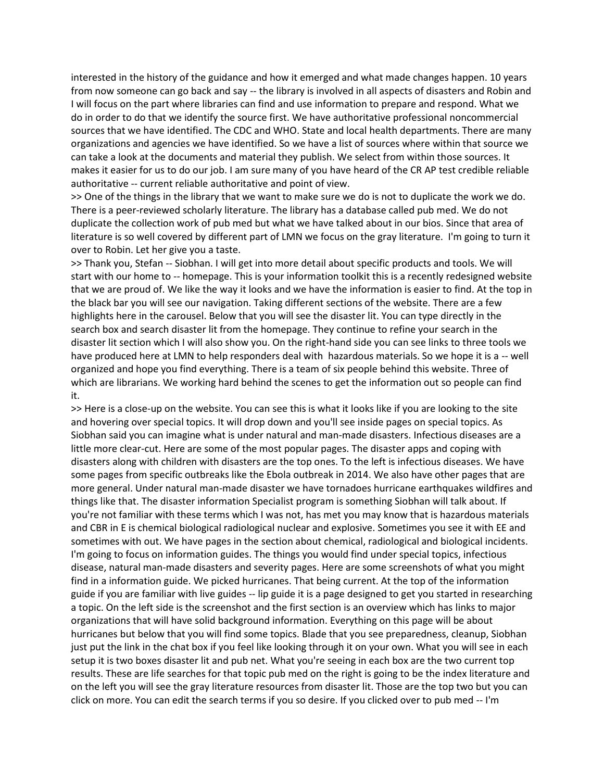interested in the history of the guidance and how it emerged and what made changes happen. 10 years from now someone can go back and say -- the library is involved in all aspects of disasters and Robin and I will focus on the part where libraries can find and use information to prepare and respond. What we do in order to do that we identify the source first. We have authoritative professional noncommercial sources that we have identified. The CDC and WHO. State and local health departments. There are many organizations and agencies we have identified. So we have a list of sources where within that source we can take a look at the documents and material they publish. We select from within those sources. It makes it easier for us to do our job. I am sure many of you have heard of the CR AP test credible reliable authoritative -- current reliable authoritative and point of view.

>> One of the things in the library that we want to make sure we do is not to duplicate the work we do. There is a peer-reviewed scholarly literature. The library has a database called pub med. We do not duplicate the collection work of pub med but what we have talked about in our bios. Since that area of literature is so well covered by different part of LMN we focus on the gray literature. I'm going to turn it over to Robin. Let her give you a taste.

>> Thank you, Stefan -- Siobhan. I will get into more detail about specific products and tools. We will start with our home to -- homepage. This is your information toolkit this is a recently redesigned website that we are proud of. We like the way it looks and we have the information is easier to find. At the top in the black bar you will see our navigation. Taking different sections of the website. There are a few highlights here in the carousel. Below that you will see the disaster lit. You can type directly in the search box and search disaster lit from the homepage. They continue to refine your search in the disaster lit section which I will also show you. On the right-hand side you can see links to three tools we have produced here at LMN to help responders deal with hazardous materials. So we hope it is a -- well organized and hope you find everything. There is a team of six people behind this website. Three of which are librarians. We working hard behind the scenes to get the information out so people can find it.

>> Here is a close-up on the website. You can see this is what it looks like if you are looking to the site and hovering over special topics. It will drop down and you'll see inside pages on special topics. As Siobhan said you can imagine what is under natural and man-made disasters. Infectious diseases are a little more clear-cut. Here are some of the most popular pages. The disaster apps and coping with disasters along with children with disasters are the top ones. To the left is infectious diseases. We have some pages from specific outbreaks like the Ebola outbreak in 2014. We also have other pages that are more general. Under natural man-made disaster we have tornadoes hurricane earthquakes wildfires and things like that. The disaster information Specialist program is something Siobhan will talk about. If you're not familiar with these terms which I was not, has met you may know that is hazardous materials and CBR in E is chemical biological radiological nuclear and explosive. Sometimes you see it with EE and sometimes with out. We have pages in the section about chemical, radiological and biological incidents. I'm going to focus on information guides. The things you would find under special topics, infectious disease, natural man-made disasters and severity pages. Here are some screenshots of what you might find in a information guide. We picked hurricanes. That being current. At the top of the information guide if you are familiar with live guides -- lip guide it is a page designed to get you started in researching a topic. On the left side is the screenshot and the first section is an overview which has links to major organizations that will have solid background information. Everything on this page will be about hurricanes but below that you will find some topics. Blade that you see preparedness, cleanup, Siobhan just put the link in the chat box if you feel like looking through it on your own. What you will see in each setup it is two boxes disaster lit and pub net. What you're seeing in each box are the two current top results. These are life searches for that topic pub med on the right is going to be the index literature and on the left you will see the gray literature resources from disaster lit. Those are the top two but you can click on more. You can edit the search terms if you so desire. If you clicked over to pub med -- I'm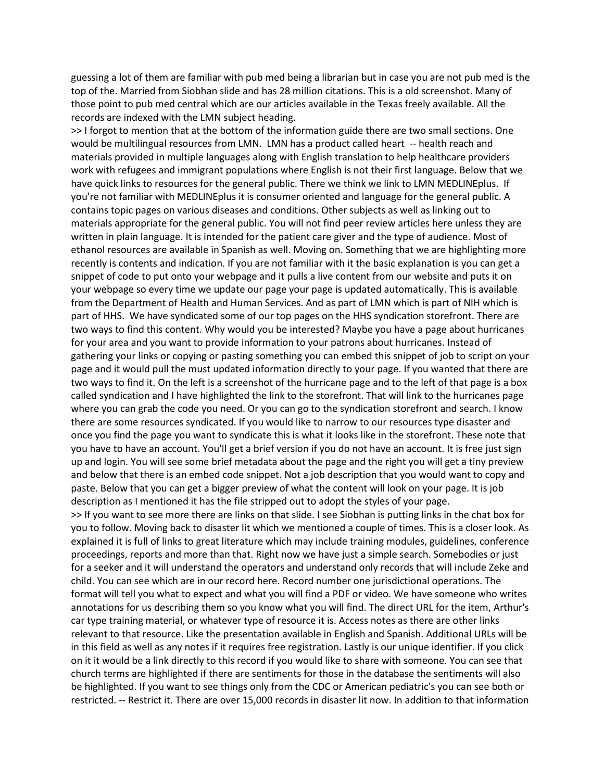guessing a lot of them are familiar with pub med being a librarian but in case you are not pub med is the top of the. Married from Siobhan slide and has 28 million citations. This is a old screenshot. Many of those point to pub med central which are our articles available in the Texas freely available. All the records are indexed with the LMN subject heading.

>> I forgot to mention that at the bottom of the information guide there are two small sections. One would be multilingual resources from LMN. LMN has a product called heart -- health reach and materials provided in multiple languages along with English translation to help healthcare providers work with refugees and immigrant populations where English is not their first language. Below that we have quick links to resources for the general public. There we think we link to LMN MEDLINEplus. If you're not familiar with MEDLINEplus it is consumer oriented and language for the general public. A contains topic pages on various diseases and conditions. Other subjects as well as linking out to materials appropriate for the general public. You will not find peer review articles here unless they are written in plain language. It is intended for the patient care giver and the type of audience. Most of ethanol resources are available in Spanish as well. Moving on. Something that we are highlighting more recently is contents and indication. If you are not familiar with it the basic explanation is you can get a snippet of code to put onto your webpage and it pulls a live content from our website and puts it on your webpage so every time we update our page your page is updated automatically. This is available from the Department of Health and Human Services. And as part of LMN which is part of NIH which is part of HHS. We have syndicated some of our top pages on the HHS syndication storefront. There are two ways to find this content. Why would you be interested? Maybe you have a page about hurricanes for your area and you want to provide information to your patrons about hurricanes. Instead of gathering your links or copying or pasting something you can embed this snippet of job to script on your page and it would pull the must updated information directly to your page. If you wanted that there are two ways to find it. On the left is a screenshot of the hurricane page and to the left of that page is a box called syndication and I have highlighted the link to the storefront. That will link to the hurricanes page where you can grab the code you need. Or you can go to the syndication storefront and search. I know there are some resources syndicated. If you would like to narrow to our resources type disaster and once you find the page you want to syndicate this is what it looks like in the storefront. These note that you have to have an account. You'll get a brief version if you do not have an account. It is free just sign up and login. You will see some brief metadata about the page and the right you will get a tiny preview and below that there is an embed code snippet. Not a job description that you would want to copy and paste. Below that you can get a bigger preview of what the content will look on your page. It is job description as I mentioned it has the file stripped out to adopt the styles of your page. >> If you want to see more there are links on that slide. I see Siobhan is putting links in the chat box for you to follow. Moving back to disaster lit which we mentioned a couple of times. This is a closer look. As explained it is full of links to great literature which may include training modules, guidelines, conference proceedings, reports and more than that. Right now we have just a simple search. Somebodies or just for a seeker and it will understand the operators and understand only records that will include Zeke and child. You can see which are in our record here. Record number one jurisdictional operations. The format will tell you what to expect and what you will find a PDF or video. We have someone who writes annotations for us describing them so you know what you will find. The direct URL for the item, Arthur's car type training material, or whatever type of resource it is. Access notes as there are other links relevant to that resource. Like the presentation available in English and Spanish. Additional URLs will be in this field as well as any notes if it requires free registration. Lastly is our unique identifier. If you click on it it would be a link directly to this record if you would like to share with someone. You can see that church terms are highlighted if there are sentiments for those in the database the sentiments will also be highlighted. If you want to see things only from the CDC or American pediatric's you can see both or restricted. -- Restrict it. There are over 15,000 records in disaster lit now. In addition to that information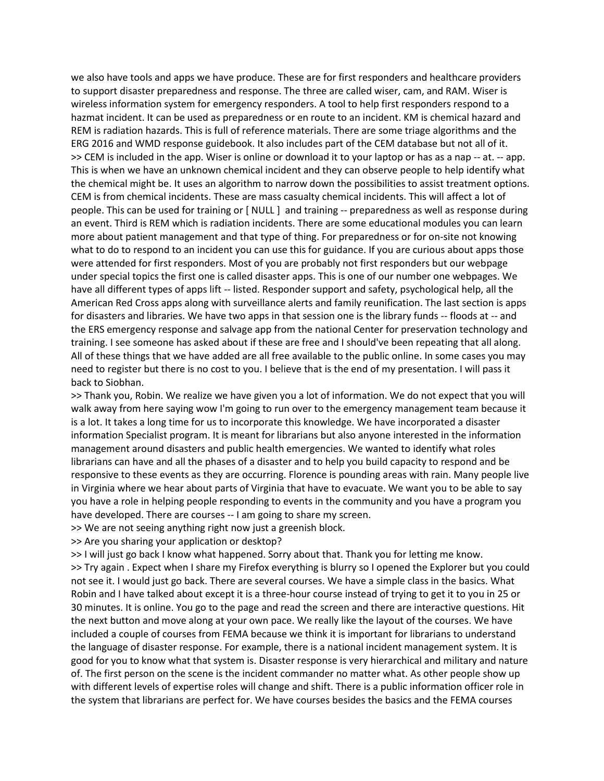we also have tools and apps we have produce. These are for first responders and healthcare providers to support disaster preparedness and response. The three are called wiser, cam, and RAM. Wiser is wireless information system for emergency responders. A tool to help first responders respond to a hazmat incident. It can be used as preparedness or en route to an incident. KM is chemical hazard and REM is radiation hazards. This is full of reference materials. There are some triage algorithms and the ERG 2016 and WMD response guidebook. It also includes part of the CEM database but not all of it. >> CEM is included in the app. Wiser is online or download it to your laptop or has as a nap -- at. -- app. This is when we have an unknown chemical incident and they can observe people to help identify what the chemical might be. It uses an algorithm to narrow down the possibilities to assist treatment options. CEM is from chemical incidents. These are mass casualty chemical incidents. This will affect a lot of people. This can be used for training or [ NULL ] and training -- preparedness as well as response during an event. Third is REM which is radiation incidents. There are some educational modules you can learn more about patient management and that type of thing. For preparedness or for on-site not knowing what to do to respond to an incident you can use this for guidance. If you are curious about apps those were attended for first responders. Most of you are probably not first responders but our webpage under special topics the first one is called disaster apps. This is one of our number one webpages. We have all different types of apps lift -- listed. Responder support and safety, psychological help, all the American Red Cross apps along with surveillance alerts and family reunification. The last section is apps for disasters and libraries. We have two apps in that session one is the library funds -- floods at -- and the ERS emergency response and salvage app from the national Center for preservation technology and training. I see someone has asked about if these are free and I should've been repeating that all along. All of these things that we have added are all free available to the public online. In some cases you may need to register but there is no cost to you. I believe that is the end of my presentation. I will pass it back to Siobhan.

>> Thank you, Robin. We realize we have given you a lot of information. We do not expect that you will walk away from here saying wow I'm going to run over to the emergency management team because it is a lot. It takes a long time for us to incorporate this knowledge. We have incorporated a disaster information Specialist program. It is meant for librarians but also anyone interested in the information management around disasters and public health emergencies. We wanted to identify what roles librarians can have and all the phases of a disaster and to help you build capacity to respond and be responsive to these events as they are occurring. Florence is pounding areas with rain. Many people live in Virginia where we hear about parts of Virginia that have to evacuate. We want you to be able to say you have a role in helping people responding to events in the community and you have a program you have developed. There are courses -- I am going to share my screen.

>> We are not seeing anything right now just a greenish block.

>> Are you sharing your application or desktop?

>> I will just go back I know what happened. Sorry about that. Thank you for letting me know. >> Try again . Expect when I share my Firefox everything is blurry so I opened the Explorer but you could not see it. I would just go back. There are several courses. We have a simple class in the basics. What Robin and I have talked about except it is a three-hour course instead of trying to get it to you in 25 or 30 minutes. It is online. You go to the page and read the screen and there are interactive questions. Hit the next button and move along at your own pace. We really like the layout of the courses. We have included a couple of courses from FEMA because we think it is important for librarians to understand the language of disaster response. For example, there is a national incident management system. It is good for you to know what that system is. Disaster response is very hierarchical and military and nature of. The first person on the scene is the incident commander no matter what. As other people show up with different levels of expertise roles will change and shift. There is a public information officer role in the system that librarians are perfect for. We have courses besides the basics and the FEMA courses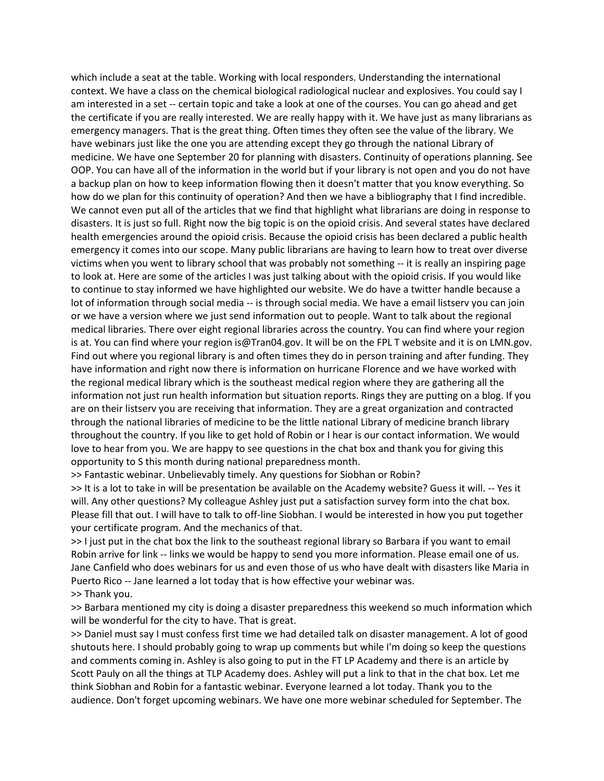which include a seat at the table. Working with local responders. Understanding the international context. We have a class on the chemical biological radiological nuclear and explosives. You could say I am interested in a set -- certain topic and take a look at one of the courses. You can go ahead and get the certificate if you are really interested. We are really happy with it. We have just as many librarians as emergency managers. That is the great thing. Often times they often see the value of the library. We have webinars just like the one you are attending except they go through the national Library of medicine. We have one September 20 for planning with disasters. Continuity of operations planning. See OOP. You can have all of the information in the world but if your library is not open and you do not have a backup plan on how to keep information flowing then it doesn't matter that you know everything. So how do we plan for this continuity of operation? And then we have a bibliography that I find incredible. We cannot even put all of the articles that we find that highlight what librarians are doing in response to disasters. It is just so full. Right now the big topic is on the opioid crisis. And several states have declared health emergencies around the opioid crisis. Because the opioid crisis has been declared a public health emergency it comes into our scope. Many public librarians are having to learn how to treat over diverse victims when you went to library school that was probably not something -- it is really an inspiring page to look at. Here are some of the articles I was just talking about with the opioid crisis. If you would like to continue to stay informed we have highlighted our website. We do have a twitter handle because a lot of information through social media -- is through social media. We have a email listserv you can join or we have a version where we just send information out to people. Want to talk about the regional medical libraries. There over eight regional libraries across the country. You can find where your region is at. You can find where your region is@Tran04.gov. It will be on the FPL T website and it is on LMN.gov. Find out where you regional library is and often times they do in person training and after funding. They have information and right now there is information on hurricane Florence and we have worked with the regional medical library which is the southeast medical region where they are gathering all the information not just run health information but situation reports. Rings they are putting on a blog. If you are on their listserv you are receiving that information. They are a great organization and contracted through the national libraries of medicine to be the little national Library of medicine branch library throughout the country. If you like to get hold of Robin or I hear is our contact information. We would love to hear from you. We are happy to see questions in the chat box and thank you for giving this opportunity to S this month during national preparedness month.

>> Fantastic webinar. Unbelievably timely. Any questions for Siobhan or Robin?

>> It is a lot to take in will be presentation be available on the Academy website? Guess it will. -- Yes it will. Any other questions? My colleague Ashley just put a satisfaction survey form into the chat box. Please fill that out. I will have to talk to off-line Siobhan. I would be interested in how you put together your certificate program. And the mechanics of that.

>> I just put in the chat box the link to the southeast regional library so Barbara if you want to email Robin arrive for link -- links we would be happy to send you more information. Please email one of us. Jane Canfield who does webinars for us and even those of us who have dealt with disasters like Maria in Puerto Rico -- Jane learned a lot today that is how effective your webinar was. >> Thank you.

>> Barbara mentioned my city is doing a disaster preparedness this weekend so much information which will be wonderful for the city to have. That is great.

>> Daniel must say I must confess first time we had detailed talk on disaster management. A lot of good shutouts here. I should probably going to wrap up comments but while I'm doing so keep the questions and comments coming in. Ashley is also going to put in the FT LP Academy and there is an article by Scott Pauly on all the things at TLP Academy does. Ashley will put a link to that in the chat box. Let me think Siobhan and Robin for a fantastic webinar. Everyone learned a lot today. Thank you to the audience. Don't forget upcoming webinars. We have one more webinar scheduled for September. The